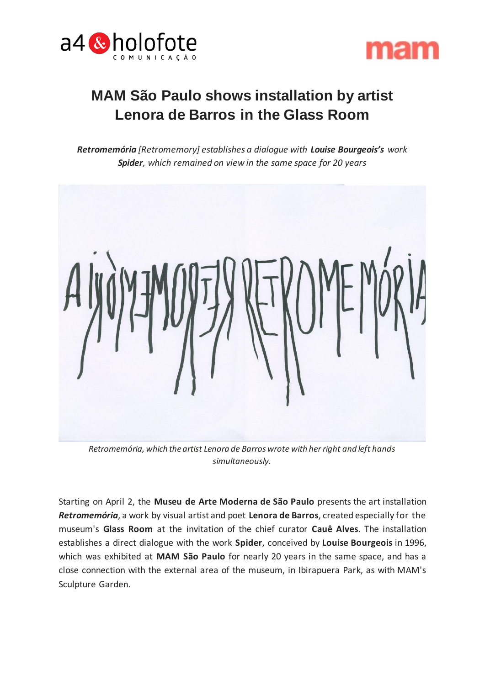



# **MAM São Paulo shows installation by artist Lenora de Barros in the Glass Room**

*Retromemória [Retromemory] establishes a dialogue with Louise Bourgeois's work Spider, which remained on view in the same space for 20 years*



*Retromemória, which the artist Lenora de Barros wrote with her right and left hands simultaneously.*

Starting on April 2, the **Museu de Arte Moderna de São Paulo** presents the art installation *Retromemória*, a work by visual artist and poet **Lenora de Barros**, created especially for the museum's **Glass Room** at the invitation of the chief curator **Cauê Alves**. The installation establishes a direct dialogue with the work **Spider**, conceived by **Louise Bourgeois** in 1996, which was exhibited at **MAM São Paulo** for nearly 20 years in the same space, and has a close connection with the external area of the museum, in Ibirapuera Park, as with MAM's Sculpture Garden.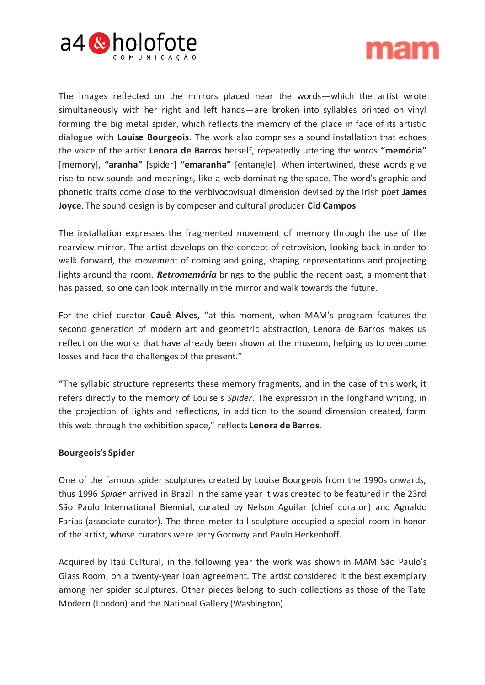



The images reflected on the mirrors placed near the words—which the artist wrote simultaneously with her right and left hands—are broken into syllables printed on vinyl forming the big metal spider, which reflects the memory of the place in face of its artistic dialogue with **Louise Bourgeois**. The work also comprises a sound installation that echoes the voice of the artist **Lenora de Barros** herself, repeatedly uttering the words **"memória"** [memory], **"aranha"** [spider] **"emaranha"** [entangle]. When intertwined, these words give rise to new sounds and meanings, like a web dominating the space. The word's graphic and phonetic traits come close to the verbivocovisual dimension devised by the Irish poet **James Joyce**. The sound design is by composer and cultural producer **Cid Campos**.

The installation expresses the fragmented movement of memory through the use of the rearview mirror. The artist develops on the concept of retrovision, looking back in order to walk forward, the movement of coming and going, shaping representations and projecting lights around the room. *Retromemória* brings to the public the recent past, a moment that has passed, so one can look internally in the mirror and walk towards the future.

For the chief curator **Cauê Alves**, "at this moment, when MAM's program features the second generation of modern art and geometric abstraction, Lenora de Barros makes us reflect on the works that have already been shown at the museum, helping us to overcome losses and face the challenges of the present."

"The syllabic structure represents these memory fragments, and in the case of this work, it refers directly to the memory of Louise's *Spider*. The expression in the longhand writing, in the projection of lights and reflections, in addition to the sound dimension created, form this web through the exhibition space," reflects **Lenora de Barros**.

## **Bourgeois's Spider**

One of the famous spider sculptures created by Louise Bourgeois from the 1990s onwards, thus 1996 *Spider* arrived in Brazil in the same year it was created to be featured in the 23rd São Paulo International Biennial, curated by Nelson Aguilar (chief curator) and Agnaldo Farias (associate curator). The three-meter-tall sculpture occupied a special room in honor of the artist, whose curators were Jerry Gorovoy and Paulo Herkenhoff.

Acquired by Itaú Cultural, in the following year the work was shown in MAM São Paulo's Glass Room, on a twenty-year loan agreement. The artist considered it the best exemplary among her spider sculptures. Other pieces belong to such collections as those of the Tate Modern (London) and the National Gallery (Washington).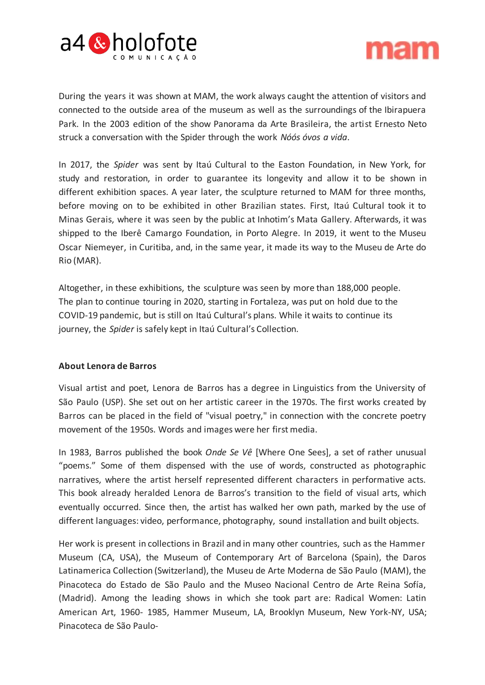



During the years it was shown at MAM, the work always caught the attention of visitors and connected to the outside area of the museum as well as the surroundings of the Ibirapuera Park. In the 2003 edition of the show Panorama da Arte Brasileira, the artist Ernesto Neto struck a conversation with the Spider through the work *Nóós óvos a vida*.

In 2017, the *Spider* was sent by Itaú Cultural to the Easton Foundation, in New York, for study and restoration, in order to guarantee its longevity and allow it to be shown in different exhibition spaces. A year later, the sculpture returned to MAM for three months, before moving on to be exhibited in other Brazilian states. First, Itaú Cultural took it to Minas Gerais, where it was seen by the public at Inhotim's Mata Gallery. Afterwards, it was shipped to the Iberê Camargo Foundation, in Porto Alegre. In 2019, it went to the Museu Oscar Niemeyer, in Curitiba, and, in the same year, it made its way to the Museu de Arte do Rio (MAR).

Altogether, in these exhibitions, the sculpture was seen by more than 188,000 people. The plan to continue touring in 2020, starting in Fortaleza, was put on hold due to the COVID-19 pandemic, but is still on Itaú Cultural's plans. While it waits to continue its journey, the *Spider* is safely kept in Itaú Cultural's Collection.

## **About Lenora de Barros**

Visual artist and poet, Lenora de Barros has a degree in Linguistics from the University of São Paulo (USP). She set out on her artistic career in the 1970s. The first works created by Barros can be placed in the field of "visual poetry," in connection with the concrete poetry movement of the 1950s. Words and images were her first media.

In 1983, Barros published the book *Onde Se Vê* [Where One Sees], a set of rather unusual "poems." Some of them dispensed with the use of words, constructed as photographic narratives, where the artist herself represented different characters in performative acts. This book already heralded Lenora de Barros's transition to the field of visual arts, which eventually occurred. Since then, the artist has walked her own path, marked by the use of different languages: video, performance, photography, sound installation and built objects.

Her work is present in collections in Brazil and in many other countries, such as the Hammer Museum (CA, USA), the Museum of Contemporary Art of Barcelona (Spain), the Daros Latinamerica Collection (Switzerland), the Museu de Arte Moderna de São Paulo (MAM), the Pinacoteca do Estado de São Paulo and the Museo Nacional Centro de Arte Reina Sofía, (Madrid). Among the leading shows in which she took part are: Radical Women: Latin American Art, 1960- 1985, Hammer Museum, LA, Brooklyn Museum, New York-NY, USA; Pinacoteca de São Paulo-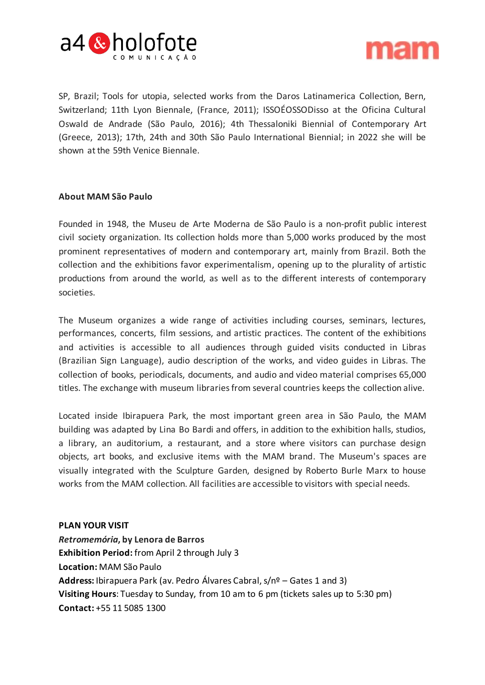



SP, Brazil; Tools for utopia, selected works from the Daros Latinamerica Collection, Bern, Switzerland; 11th Lyon Biennale, (France, 2011); ISSOÉOSSODisso at the Oficina Cultural Oswald de Andrade (São Paulo, 2016); 4th Thessaloniki Biennial of Contemporary Art (Greece, 2013); 17th, 24th and 30th São Paulo International Biennial; in 2022 she will be shown at the 59th Venice Biennale.

## **About MAM São Paulo**

Founded in 1948, the Museu de Arte Moderna de São Paulo is a non-profit public interest civil society organization. Its collection holds more than 5,000 works produced by the most prominent representatives of modern and contemporary art, mainly from Brazil. Both the collection and the exhibitions favor experimentalism, opening up to the plurality of artistic productions from around the world, as well as to the different interests of contemporary societies.

The Museum organizes a wide range of activities including courses, seminars, lectures, performances, concerts, film sessions, and artistic practices. The content of the exhibitions and activities is accessible to all audiences through guided visits conducted in Libras (Brazilian Sign Language), audio description of the works, and video guides in Libras. The collection of books, periodicals, documents, and audio and video material comprises 65,000 titles. The exchange with museum libraries from several countries keeps the collection alive.

Located inside Ibirapuera Park, the most important green area in São Paulo, the MAM building was adapted by Lina Bo Bardi and offers, in addition to the exhibition halls, studios, a library, an auditorium, a restaurant, and a store where visitors can purchase design objects, art books, and exclusive items with the MAM brand. The Museum's spaces are visually integrated with the Sculpture Garden, designed by Roberto Burle Marx to house works from the MAM collection. All facilities are accessible to visitors with special needs.

### **PLAN YOUR VISIT**

*Retromemória***, by Lenora de Barros Exhibition Period:** from April 2 through July 3 **Location:** MAM São Paulo **Address:** Ibirapuera Park (av. Pedro Álvares Cabral, s/nº – Gates 1 and 3) **Visiting Hours**: Tuesday to Sunday, from 10 am to 6 pm (tickets sales up to 5:30 pm) **Contact:** +55 11 5085 1300